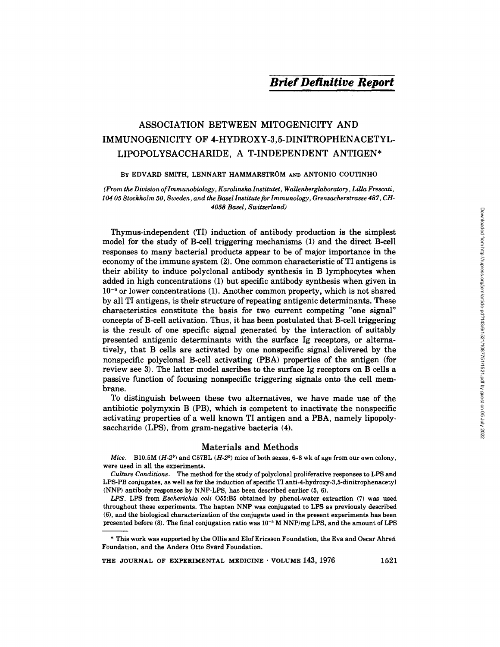# ASSOCIATION BETWEEN MITOGENICITY AND IMMUNOGENICITY OF 4-HYDROXY-3,5-DINITROPHENACETYL-LIPOPOLYSACCHARIDE, A T-INDEPENDENT ANTIGEN\*

#### BY EDVARD SMITH, LENNART HAMMARSTROM AND ANTONIO COUTINHO

*(From the Division of lmmunobiology , Karolinska Institutet, Wallenberglaboratory , Lilla Frescati, 104 05 Stockholm 50, Sweden, and the Basel Institute for Immunology, Grenzacherstrasse 487, CH-4058 Basel, Switzerland)* 

Thymus-independent (TI) induction of antibody production is the simplest model for the study of B-cell triggering mechanisms (1) and the direct B-cell responses to many bacterial products appear to be of major importance in the economy of the immune system (2). One common characteristic of TI antigens is their ability to induce polyclonal antibody synthesis in B lymphocytes when added in high concentrations (1) but specific antibody synthesis when given in  $10^{-6}$  or lower concentrations (1). Another common property, which is not shared by all TI antigens, is their structure of repeating antigenic determinants. These characteristics constitute the basis for two current competing "one signal" concepts of B-cell activation. Thus, it has been postulated that B-cell triggering is the result of one specific signal generated by the interaction of suitably presented antigenic determinants with the surface Ig receptors, or alternatively, that B cells are activated by one nonspecific signal delivered by the nonspecific polyclonal B-cell activating (PBA) properties of the antigen (for review see 3). The latter model ascribes to the surface Ig receptors on B cells a passive function of focusing nonspecific triggering signals onto the cell membrane.

To distinguish between these two alternatives, we have made use of the antibiotic polymyxin B (PB), which is competent to inactivate the nonspecific activating properties of a well known TI antigen and a PBA, namely lipopolysaccharide (LPS), from gram-negative bacteria (4),

### Materials and Methods

*Mice.* B10.5M  $(H-2^b)$  and C57BL  $(H-2^b)$  mice of both sexes, 6-8 wk of age from our own colony, were used in all the experiments.

*Culture Conditions.* The method for the study of polyclonal proliferative responses to LPS and LPS-PB conjugates, as well as for the induction of specific TI anti-4-hydroxy-3,5-dinitrophenacetyl (NNP) antibody responses by NNP-LPS, has been described earlier (5, 6).

*LPS.* LPS from *Escherichia coli* O55:B5 obtained by phenol-water extraction (7) was used throughout these experiments. The hapten NNP was conjugated to LPS as previously described (6), and the biological characterization of the conjugate used in the present experiments has been presented before (8). The final conjugation ratio was  $10^{-5}$  M NNP/mg LPS, and the amount of LPS

<sup>\*</sup> This work was supported by the Ollie and Elof Ericsson Foundation, the Eva and Oscar Ahreń Foundation, and the Anders Otto Svärd Foundation.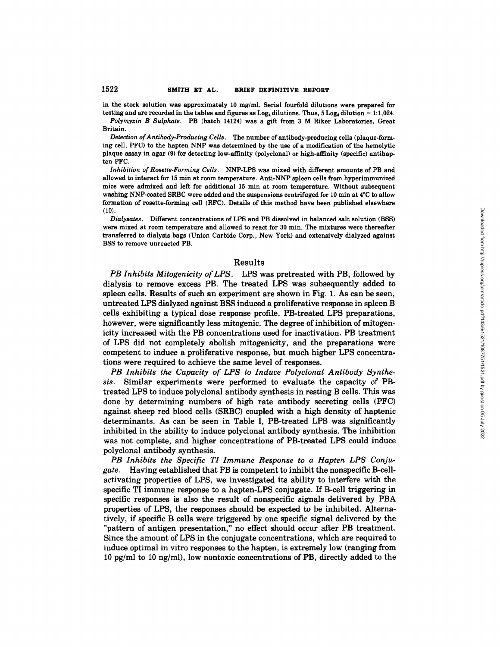in the stock solution was approximately 10 mg/ml. Serial fourfold dilutions were prepared for testing and are recorded in the tables and figures as  $Log_4$  dilutions. Thus, 5  $Log_4$  dilution = 1:1,024.

*Polymyxin B Sulphate.* PB (batch 14124) was a gift from 3 M Riker Laboratories, Great Britain.

*Detection of Antibody-Producing Cells.* The number of antibody-producing cells (plaque-forming cell, PFC) to the hapten NNP was determined by the use of a modification of the hemolytic plaque assay in agar (9) for detecting low-affinity (pelyclonal) or high-affinity (specific) antihapten PFC.

*Inhibition of Rosette-Forming Cells.* NNP-LPS was mixed with different amounts of PB and allowed to interact for 15 min at room temperature. Anti-NNP spleen cells from hyperimmunized mice were admixed and left for additional 15 min at room temperature. Without subsequent washing NNP-coated SRBC were added and the suspensions centrifuged for 10 min at 4°C to allow formation of rosette-forming cell (RFC). Details of this method have been published elsewhere (10).

*Dialysates.* Different concentrations of LPS and PB dissolved in balanced salt solution (BSS) were mixed at room temperature and allowed to react for 30 min. The mixtures were thereafter transferred to dialysis bags (Union Carbide Corp., New York) and extensively dialyzed against BSS to remove unreacted PB.

# Results

*PB Inhibits Mitogenicity of LPS.* LPS was pretreated with PB, followed by dialysis to remove excess PB. The treated LPS was subsequently added to spleen cells. Results of such an experiment are shown in Fig. 1. As can be seen, untreated LPS dialyzed against BSS induced a proliferative response in spleen B cells exhibiting a typical dose response profile. PB-treated LPS preparations, however, were significantly less mitogenic. The degree of inhibition of mitogenicity increased with the PB concentrations used for inactivation. PB treatment of LPS did not completely abolish mitogenicity, and the preparations were competent to induce a proliferative response, but much higher LPS concentrations were required to achieve the same level of responses.

*PB Inhibits the Capacity of LPS to Induce Polyclonal Antibody Synthesis.* Similar experiments were performed to evaluate the capacity of PBtreated LPS to induce polyclonal antibody synthesis in resting B cells. This was done by determining numbers of high rate antibody secreting cells (PFC) against sheep red blood cells (SRBC) coupled with a high density of haptenic determinants. As can be seen in Table I, PB-treated LPS was significantly inhibited in the ability to induce polyclonal antibody synthesis. The inhibition was not complete, and higher concentrations of PB-treated LPS could induce polyclonal antibody synthesis.

*PB Inhibits the Specific TI Immune Response to a Hapten LPS Conjugate.* Having established that PB is competent to inhibit the nonspecific B-cellactivating properties of LPS, we investigated its ability to interfere with the specific TI immune response to a hapten-LPS conjugate. If B-cell triggering in specific responses is also the result of nonspecific signals delivered by PBA properties of LPS, the responses should be expected to be inhibited. Alternatively, if specific B cells were triggered by one specific signal delivered by the "pattern of antigen presentation," no effect should occur after PB treatment. Since the amount of LPS in the conjugate concentrations, which are required to induce optimal in vitro responses to the hapten, is extremely low (ranging from 10 pg/ml to 10 ng/ml), low nontoxic concentrations of PB, directly added to the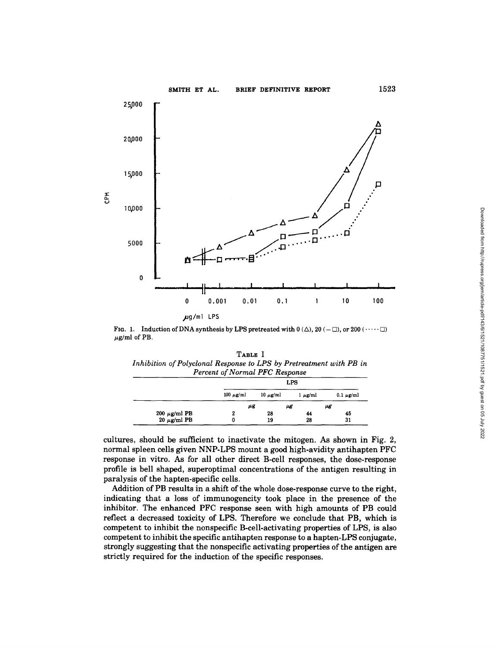

FIG. 1. Induction of DNA synthesis by LPS pretreated with  $0 (\triangle)$ ,  $20 (-\square)$ , or  $200 (\cdots \square)$  $\mu$ g/ml of PB.

| TABLE I                                                             |  |
|---------------------------------------------------------------------|--|
| Inhibition of Polyclonal Response to LPS by Pretreatment with PB in |  |
| Percent of Normal PFC Response                                      |  |

|                   | LPS            |               |              |                |
|-------------------|----------------|---------------|--------------|----------------|
|                   | $100 \mu g/ml$ | $10 \mu$ g/ml | $1 \mu g/ml$ | $0.1 \mu g/ml$ |
|                   | μg             |               | μg           | μg             |
| 200 $\mu$ g/ml PB |                | 28            | 44           | 45             |
| 20 $\mu$ g/ml PB  |                | 19            | 28           | 31             |

cultures, should be sufficient to inactivate the mitogen. As shown in Fig. 2, normal spleen cells given NNP-LPS mount a good high-avidity antihapten PFC response in vitro. As for all other direct B-cell responses, the dose-response profile is bell shaped, superoptimal concentrations of the antigen resulting in paralysis of the hapten-specific cells.

Addition of PB results in a shift of the whole dose-response curve to the right, indicating that a loss of immunogencity took place in the presence of the inhibitor. The enhanced PFC response seen with high amounts of PB could reflect a decreased toxicity of LPS. Therefore we conclude that PB, which is competent to inhibit the nonspecific B-cell-activating properties of LPS, is also competent to inhibit the specific antihapten response to a hapten-LPS conjugate, strongly suggesting that the nonspecific activating properties of the antigen are strictly required for the induction of the specific responses.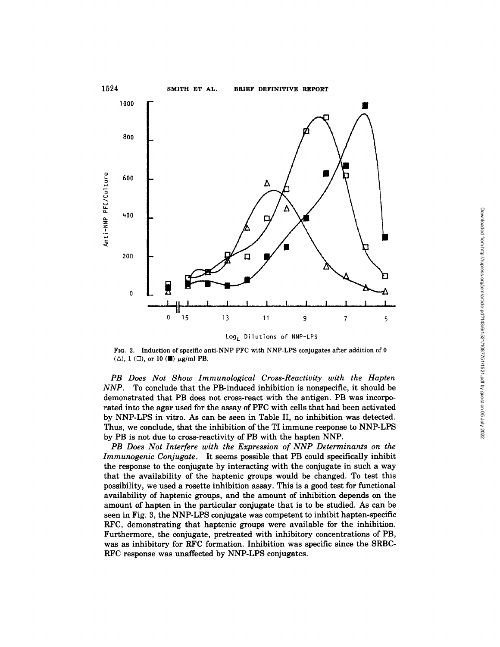

 $Log<sub>h</sub>$  Dilutions of NNP-LPS

FIG. 2. Induction of specific anti-NNP PFC with NNP-LPS conjugates after addition of 0  $(\triangle)$ , 1  $(\square)$ , or 10 (II)  $\mu$ g/ml PB.

*PB Does Not Show Immunological Cross-Reactivity with the Hapten NNP.* To conclude that the PB-induced inhibition is nonspecific, it should be demonstrated that PB does not cross-react with the antigen. PB was incorporated into the agar used for the assay of PFC with cells that had been activated by NNP-LPS in vitro. As can be seen in Table II, no inhibition was detected. Thus, we conclude, that the inhibition of the TI immune response to NNP-LPS by PB is not due to cross-reactivity of PB with the hapten NNP.

*PB Does Not Interfere with the Expression of NNP Determinants on the Immunogenic Conjugate.* It seems possible that PB could specifically inhibit the response to the conjugate by interacting with the conjugate in such a way that the availability of the haptenic groups would be changed. To test this possibility, we used a rosette inhibition assay. This is a good test for functional availability of haptenic groups, and the amount of inhibition depends on the amount of hapten in the particular conjugate that is to be studied. As can be seen in Fig. 3, the NNP-LPS conjugate was competent to inhibit hapten-specific RFC, demonstrating that haptenic groups were available for the inhibition. Furthermore, the conjugate, pretreated with inhibitory concentrations of PB, was as inhibitory for RFC formation. Inhibition was specific since the SRBC-RFC response was unaffected by NNP-LPS conjugates.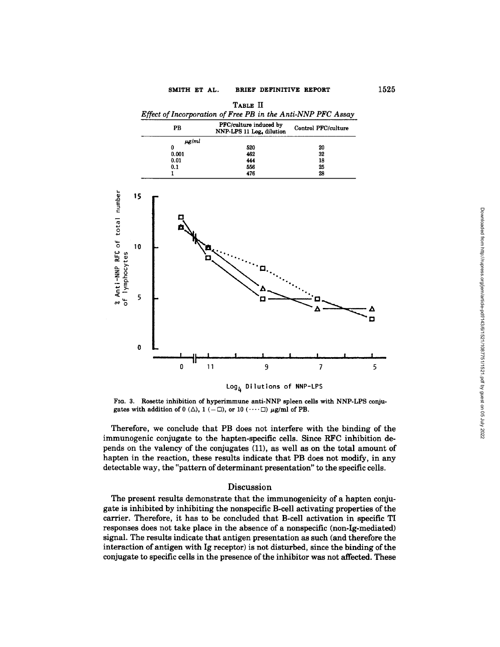

 $Log_{L}$  Dilutions of NNP-LPS

FIG. 3. Rosette inhibition of hyperimmune anti-NNP spleen cells with NNP-LPS conjugates with addition of 0 ( $\triangle$ ), 1 ( $-\square$ ), or 10 ( $\cdots$  $\square$ )  $\mu$ g/ml of PB.

Therefore, we conclude that PB does not interfere with the binding of the immunogenic conjugate to the hapten-specific cells. Since RFC inhibition depends on the valency of the conjugates (11), as well as on the total amount of hapten in the reaction, these results indicate that PB does not modify, in any detectable way, the "pattern of determinant presentation" to the specific cells.

# Discussion

The present results demonstrate that the immunogenicity of a hapten conjugate is inhibited by inhibiting the nonspecific B-cell activating properties of the carrier. Therefore, it has to be concluded that B-cell activation in specific TI responses does not take place in the absence of a nonspecific (non-Ig-mediated) signal. The results indicate that antigen presentation as such (and therefore the interaction of antigen with Ig receptor) is not disturbed, since the binding of the conjugate to specific cells in the presence of the inhibiter was not affected. These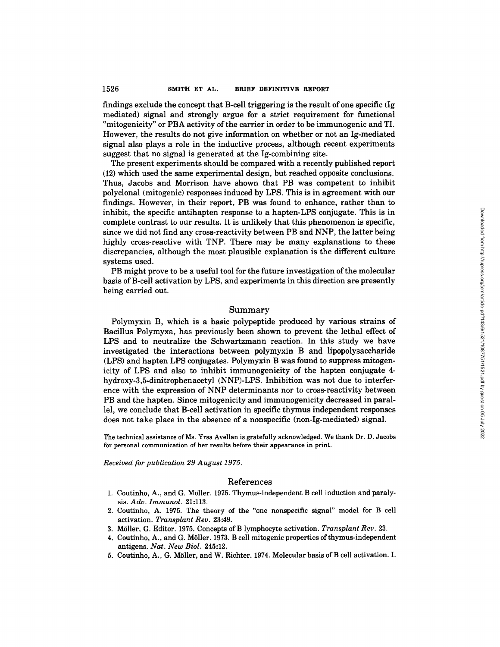#### 1526 **SMITH ET AL. BRIEF DEFINITIVE REPORT**

findings exclude the concept that B-cell triggering is the result of one specific (Ig mediated) signal and strongly argue for a strict requirement for functional "mitogenicity" or PBA activity of the carrier in order to be immunogenic and TI. However, the results do not give information on whether or not an Ig-mediated signal also plays a role in the inductive process, although recent experiments suggest that no signal is generated at the Ig-combining site.

The present experiments should be compared with a recently published report (12) which used the same experimental design, but reached opposite conclusions. Thus, Jacobs and Morrison have shown that PB was competent to inhibit polyclonal (mitogenic) responses induced by LPS. This is in agreement with our findings. However, in their report, PB was found to enhance, rather than to inhibit, the specific antihapten response to a hapten-LPS conjugate. This is in complete contrast to our results. It is unlikely that this phenomenon is specific, since we did not find any cross-reactivity between PB and NNP, the latter being highly cross-reactive with TNP. There may be many explanations to these discrepancies, although the most plausible explanation is the different culture systems used.

PB might prove to be a useful tool for the future investigation of the molecular basis of B-cell activation by LPS, and experiments in this direction are presently being carried out.

# Summary

Polymyxin B, which is a basic polypeptide produced by various strains of Bacillus Polymyxa, has previously been shown to prevent the lethal effect of LPS and to neutralize the Schwartzmann reaction. In this study we have investigated the interactions between polymyxin B and lipopolysaccharide (LPS) and hapten LPS conjugates. Polymyxin B was found to suppress mitogenicity of LPS and also to inhibit immunogenicity of the hapten conjugate 4 hydroxy-3,5-dinitrophenacetyl (NNP)-LPS. Inhibition was not due to interference with the expression of NNP determinants nor to cross-reactivity between PB and the hapten. Since mitogenicity and immunogenicity decreased in parallel, we conclude that B-cell activation in specific thymus independent responses does not take place in the absence of a nonspecific (non-Ig-mediated) signal.

The technical assistance of Ms. Yrsa Avellan is gratefully acknowledged. We thank Dr. D. Jacobs for personal communication of her results before their appearance in print.

*Received for publication 29 August 1975.* 

#### References

- 1. Coutinho, A., and G. Möller. 1975. Thymus-independent B cell induction and paralysis. *Adv. Immunol.* 21:113.
- 2. Coutinho, A. 1975. The theory of the <'one nonspecific signal" model for B cell activation. *Transplant Rev.* 23:49.
- 3. MSller, G. Editor. 1975. Concepts of B lymphocyte activation. *Transplant Rev.* 23.
- 4. Coutinho, A., and G. Möller. 1973. B cell mitogenic properties of thymus-independent antigens. *Nat. New Biol.* 245:12.
- 5. Coutinho, A., G. M5ller, and W. Richter. 1974. Molecular basis of B cell activation. I.